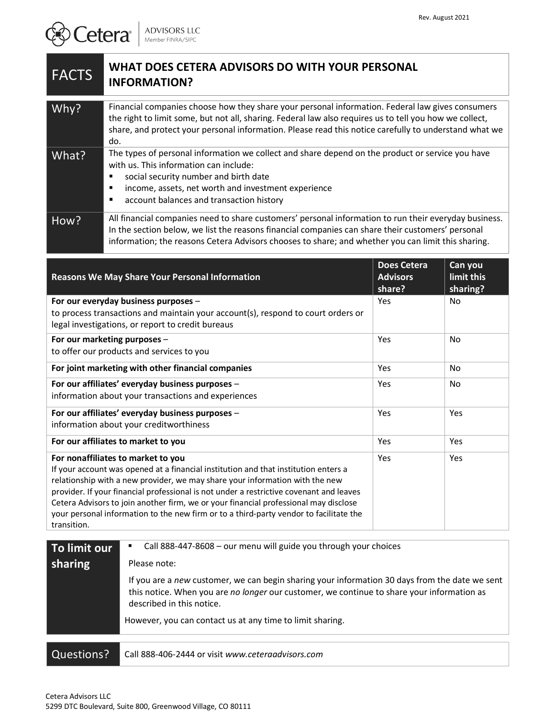## **FACTS** WHAT DOES CETERA ADVISORS DO WITH YOUR PERSONAL **INFORMATION?**

| Why?  | Financial companies choose how they share your personal information. Federal law gives consumers<br>the right to limit some, but not all, sharing. Federal law also requires us to tell you how we collect,<br>share, and protect your personal information. Please read this notice carefully to understand what we<br>do. |
|-------|-----------------------------------------------------------------------------------------------------------------------------------------------------------------------------------------------------------------------------------------------------------------------------------------------------------------------------|
| What? | The types of personal information we collect and share depend on the product or service you have<br>with us. This information can include:<br>social security number and birth date<br>income, assets, net worth and investment experience<br>account balances and transaction history<br>■                                 |
| How?  | All financial companies need to share customers' personal information to run their everyday business.<br>In the section below, we list the reasons financial companies can share their customers' personal<br>information; the reasons Cetera Advisors chooses to share; and whether you can limit this sharing.            |

| <b>Reasons We May Share Your Personal Information</b>                                                                                                                          | <b>Does Cetera</b><br><b>Advisors</b><br>share? | Can you<br>limit this<br>sharing? |
|--------------------------------------------------------------------------------------------------------------------------------------------------------------------------------|-------------------------------------------------|-----------------------------------|
| For our everyday business purposes -<br>to process transactions and maintain your account(s), respond to court orders or                                                       | Yes                                             | No.                               |
| legal investigations, or report to credit bureaus                                                                                                                              |                                                 |                                   |
| For our marketing purposes -                                                                                                                                                   | Yes                                             | <b>No</b>                         |
| to offer our products and services to you                                                                                                                                      |                                                 |                                   |
| For joint marketing with other financial companies                                                                                                                             | Yes                                             | <b>No</b>                         |
| For our affiliates' everyday business purposes -                                                                                                                               | Yes                                             | No                                |
| information about your transactions and experiences                                                                                                                            |                                                 |                                   |
| For our affiliates' everyday business purposes -                                                                                                                               | Yes                                             | Yes                               |
| information about your creditworthiness                                                                                                                                        |                                                 |                                   |
| For our affiliates to market to you                                                                                                                                            | Yes                                             | Yes                               |
| For nonaffiliates to market to you                                                                                                                                             | Yes                                             | Yes                               |
| If your account was opened at a financial institution and that institution enters a                                                                                            |                                                 |                                   |
| relationship with a new provider, we may share your information with the new                                                                                                   |                                                 |                                   |
| provider. If your financial professional is not under a restrictive covenant and leaves                                                                                        |                                                 |                                   |
| Cetera Advisors to join another firm, we or your financial professional may disclose<br>your personal information to the new firm or to a third-party vendor to facilitate the |                                                 |                                   |
| transition.                                                                                                                                                                    |                                                 |                                   |

| To limit our            | Call 888-447-8608 - our menu will guide you through your choices                                                                                                                                                          |  |
|-------------------------|---------------------------------------------------------------------------------------------------------------------------------------------------------------------------------------------------------------------------|--|
| sharing<br>Please note: |                                                                                                                                                                                                                           |  |
|                         | If you are a new customer, we can begin sharing your information 30 days from the date we sent<br>this notice. When you are no longer our customer, we continue to share your information as<br>described in this notice. |  |
|                         | However, you can contact us at any time to limit sharing.                                                                                                                                                                 |  |
|                         |                                                                                                                                                                                                                           |  |
| Questions?              | Call 888-406-2444 or visit www.ceteraadvisors.com                                                                                                                                                                         |  |